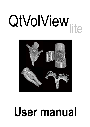# QtVolView



# User manual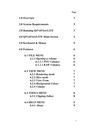Page

| 1.0 Overview                         | 3            |
|--------------------------------------|--------------|
| <b>2.0 System Requirements</b>       | $\mathbf{3}$ |
| <b>3.0 Running QtVolViewLITE</b>     | 3            |
| <b>4.0 QtVolViewLITE Main Screen</b> | 4            |
| 5.0 Keyboard & Mouse                 | 5            |
| <b>6.0 Features</b>                  | 6            |
| <b>6.1 FILE MENU</b>                 | 6            |
| 6.1.1 Opening a volume               | 6            |
| 6.1.1.1 PNG Volumes                  | 6            |
| 6.1.1.1 RAW Volumes                  | 6            |
| <b>6.2 VIEW MENU</b>                 | 7            |
| <b>6.2.1 Rendering mode</b>          | 7            |
| 6.2.2 Slice mode                     | 7            |
| <b>6.2.3 View From</b>               | 7            |
| 6.2.4 Background Colour              | 7            |
| 6.2.5 <i>Volume</i>                  |              |
| <b>6.3 TOOLS MENU</b>                | 8            |
| <b>6.3.1 Clipping Editor</b>         | 8            |
| <b>6.4 HELP MENU</b>                 | 9            |
| 6.4.1 <i>About.</i>                  | 9            |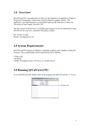#### 1.0 Overview:

QtVolViewLITE is an application to allow for the interactive visualisation of Optical Projection Tomography volume data using the OpenGL graphics library. The application was implemented as a joint project between the John Innes Centre and University of East Anglia, Norwich, UK.

The full version of QtVolView is available upon request. If you are interested in using QtVolView for your own volumetric data please contact:

Mr. Jerome Avondo Email: j.avondo@uea.ac.uk

#### 2.0 System Requirements:

QtVolViewLITE requires an OpenGL compatible graphics card, capable of using 3D Textures. The recommended system requirements are as follows:

```
3.2Ghz CPU 
1Gb RAM 
128Mb 3D Graphic Card (>ATI 9xxx or >Nvidia 5xxxx)
```
### 3.0 Running QtVolViewLITE:

To run QtVolViewLITE double click on the program file (QtVolViewLite v1.72.exe).

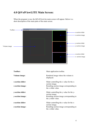# 4.0 QtVolViewLITE Main Screen:

When the program is run, the QtVolViewLite main screen will appear. Below is a short description of the main parts of the main screen.



| Toolbar:          | Main application toolbar.                                       |
|-------------------|-----------------------------------------------------------------|
| Volume image:     | Rendered image where the volume is<br>displayed.                |
| x-section slider: | Slider controlling the x value for the x-<br>section image.     |
| x-section image:  | Resulting section image corresponding to<br>the x slider value. |
| y-section slider: | Slider controlling the y value for the y-<br>section image.     |
| y-section image:  | Resulting section image corresponding to<br>the y slider value. |
| z-section slider: | Slider controlling the z value for the z-<br>section image.     |
| z-section image:  | Resulting section image corresponding to<br>the z slider value. |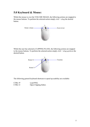# 5.0 Keyboard & Mouse:

Whilst the mouse is over the VOLUME IMAGE, the following actions are mapped to the mouse buttons. To perform the selected action simply  $click + drag$  the desired button.



Whilst the user has selected a CLIPPING PLANE, the following actions are mapped to the mouse buttons. To perform the selected action simply  $click + drag \ up/down$  the desired button.



The following general keyboard shortcuts to speed up usability are available:

| CTRL+P | Load PNG.             |
|--------|-----------------------|
| CTRL+C | Open Clipping Editor. |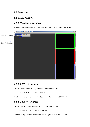#### 6.0 Features:

#### 6.1 FILE MENU

#### 6.1.1 Opening a volume.

Volumes are stored as a series of z slice PNG images OR as a binary RAW file.



#### 6.1.1.1 PNG Volumes

To load a PNG volume, simply select from the main toolbar:

FILE -> IMPORT -> PNG IMAGES.

Or alternatively for a quicker method use the keyboard shortcut CTRL+P.

#### 6.1.1.2 RAW Volumes

To load a RAW volume, simply select from the main toolbar:

FILE -> IMPORT -> RAW VOLUME.

Or alternatively for a quicker method use the keyboard shortcut CTRL+R.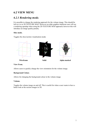#### 6.2 VIEW MENU

#### 6.2.1 Rendering mode.

It is possible to change the rendering approach for the volume image. This should be left as it is in 3D TEXTURE MAP. However on older graphics hardware user will see a rendering speedup when using the 2D TEXTURE MAP approach; however this will introduce an image quality penalty.

#### Slice mode.

Toggles the slice/section visualisation mode.



#### View From.

Allows users to quickly change the view orientation for the volume image.

#### Background Colour.

Allows for changing the background colour in the volume image.

#### Volume.

Toggles the volume image on and off. This is useful for when a user wants to have a better look at the section images in 3D.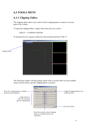### 6.3 TOOLS MENU

### 6.3.1 Clipping Editor.

The clipping editor allows user control of the 6 clipping planes in order to cut away parts of the volume.

To open the Clipping Editor, simply select from the main toolbar:

TOOLS -> CLIPPING EDITOR

Or alternatively for a quicker method use the keyboard shortcut CTRL+C.



The following window will then popup, please refer to section  $5.0$  to see the available mouse actions whilst a specific clipping plane is selected.